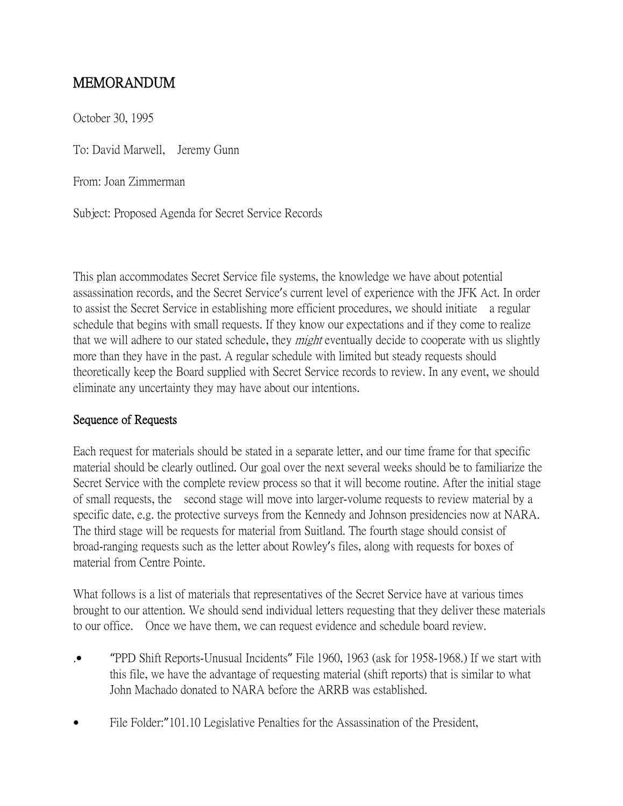## MEMORANDUM

October 30, 1995

To: David Marwell, Jeremy Gunn

From: Joan Zimmerman

Subject: Proposed Agenda for Secret Service Records

This plan accommodates Secret Service file systems, the knowledge we have about potential assassination records, and the Secret Service's current level of experience with the JFK Act. In order to assist the Secret Service in establishing more efficient procedures, we should initiate a regular schedule that begins with small requests. If they know our expectations and if they come to realize that we will adhere to our stated schedule, they *might* eventually decide to cooperate with us slightly more than they have in the past. A regular schedule with limited but steady requests should theoretically keep the Board supplied with Secret Service records to review. In any event, we should eliminate any uncertainty they may have about our intentions.

## Sequence of Requests

Each request for materials should be stated in a separate letter, and our time frame for that specific material should be clearly outlined. Our goal over the next several weeks should be to familiarize the Secret Service with the complete review process so that it will become routine. After the initial stage of small requests, the second stage will move into larger-volume requests to review material by a specific date, e.g. the protective surveys from the Kennedy and Johnson presidencies now at NARA. The third stage will be requests for material from Suitland. The fourth stage should consist of broad-ranging requests such as the letter about Rowley's files, along with requests for boxes of material from Centre Pointe.

What follows is a list of materials that representatives of the Secret Service have at various times brought to our attention. We should send individual letters requesting that they deliver these materials to our office. Once we have them, we can request evidence and schedule board review.

- .• "PPD Shift Reports-Unusual Incidents" File 1960, 1963 (ask for 1958-1968.) If we start with this file, we have the advantage of requesting material (shift reports) that is similar to what John Machado donated to NARA before the ARRB was established.
- File Folder:"101.10 Legislative Penalties for the Assassination of the President,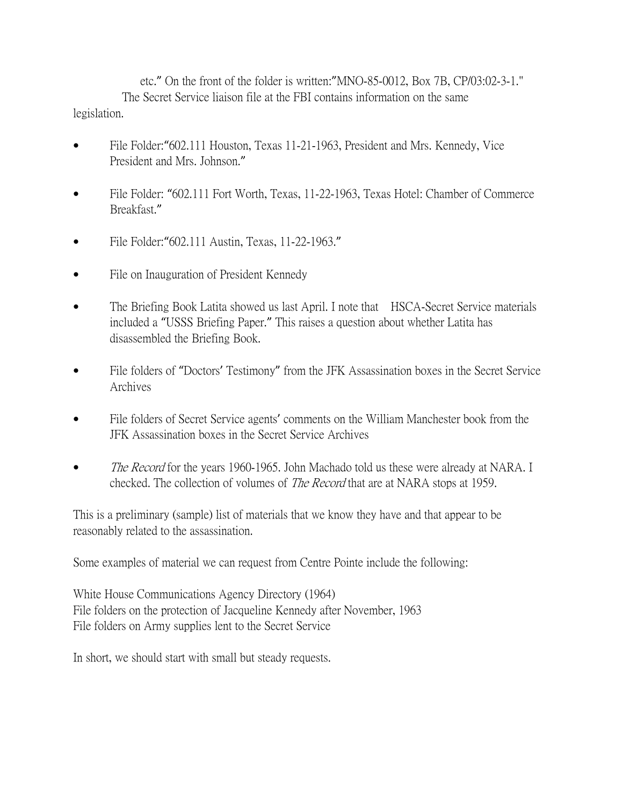etc." On the front of the folder is written:"MNO-85-0012, Box 7B, CP/03:02-3-1." The Secret Service liaison file at the FBI contains information on the same legislation.

- File Folder: "602.111 Houston, Texas 11-21-1963, President and Mrs. Kennedy, Vice President and Mrs. Johnson."
- File Folder: "602.111 Fort Worth, Texas, 11-22-1963, Texas Hotel: Chamber of Commerce Breakfast."
- File Folder: "602.111 Austin, Texas, 11-22-1963."
- File on Inauguration of President Kennedy
- The Briefing Book Latita showed us last April. I note that HSCA-Secret Service materials included a "USSS Briefing Paper." This raises a question about whether Latita has disassembled the Briefing Book.
- File folders of "Doctors' Testimony" from the JFK Assassination boxes in the Secret Service Archives
- File folders of Secret Service agents' comments on the William Manchester book from the JFK Assassination boxes in the Secret Service Archives
- The Record for the years 1960-1965. John Machado told us these were already at NARA. I checked. The collection of volumes of *The Record* that are at NARA stops at 1959.

This is a preliminary (sample) list of materials that we know they have and that appear to be reasonably related to the assassination.

Some examples of material we can request from Centre Pointe include the following:

White House Communications Agency Directory (1964) File folders on the protection of Jacqueline Kennedy after November, 1963 File folders on Army supplies lent to the Secret Service

In short, we should start with small but steady requests.